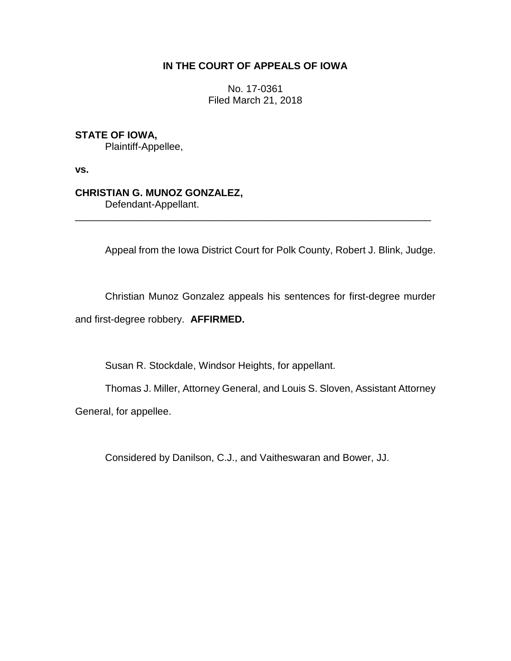## **IN THE COURT OF APPEALS OF IOWA**

No. 17-0361 Filed March 21, 2018

# **STATE OF IOWA,**

Plaintiff-Appellee,

**vs.**

## **CHRISTIAN G. MUNOZ GONZALEZ,**

Defendant-Appellant.

Appeal from the Iowa District Court for Polk County, Robert J. Blink, Judge.

Christian Munoz Gonzalez appeals his sentences for first-degree murder and first-degree robbery. **AFFIRMED.**

\_\_\_\_\_\_\_\_\_\_\_\_\_\_\_\_\_\_\_\_\_\_\_\_\_\_\_\_\_\_\_\_\_\_\_\_\_\_\_\_\_\_\_\_\_\_\_\_\_\_\_\_\_\_\_\_\_\_\_\_\_\_\_\_

Susan R. Stockdale, Windsor Heights, for appellant.

Thomas J. Miller, Attorney General, and Louis S. Sloven, Assistant Attorney General, for appellee.

Considered by Danilson, C.J., and Vaitheswaran and Bower, JJ.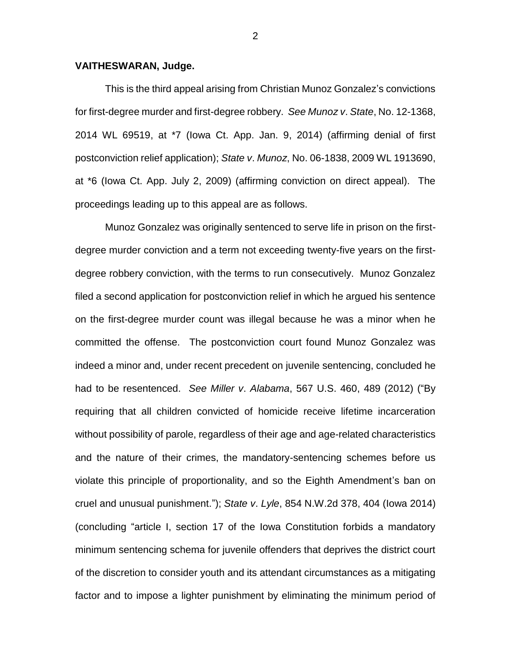#### **VAITHESWARAN, Judge.**

This is the third appeal arising from Christian Munoz Gonzalez's convictions for first-degree murder and first-degree robbery. *See Munoz v*. *State*, No. 12-1368, 2014 WL 69519, at \*7 (Iowa Ct. App. Jan. 9, 2014) (affirming denial of first postconviction relief application); *State v*. *Munoz*, No. 06-1838, 2009 WL 1913690, at \*6 (Iowa Ct. App. July 2, 2009) (affirming conviction on direct appeal). The proceedings leading up to this appeal are as follows.

Munoz Gonzalez was originally sentenced to serve life in prison on the firstdegree murder conviction and a term not exceeding twenty-five years on the firstdegree robbery conviction, with the terms to run consecutively. Munoz Gonzalez filed a second application for postconviction relief in which he argued his sentence on the first-degree murder count was illegal because he was a minor when he committed the offense. The postconviction court found Munoz Gonzalez was indeed a minor and, under recent precedent on juvenile sentencing, concluded he had to be resentenced. *See Miller v*. *Alabama*, 567 U.S. 460, 489 (2012) ("By requiring that all children convicted of homicide receive lifetime incarceration without possibility of parole, regardless of their age and age-related characteristics and the nature of their crimes, the mandatory-sentencing schemes before us violate this principle of proportionality, and so the Eighth Amendment's ban on cruel and unusual punishment."); *State v*. *Lyle*, 854 N.W.2d 378, 404 (Iowa 2014) (concluding "article I, section 17 of the Iowa Constitution forbids a mandatory minimum sentencing schema for juvenile offenders that deprives the district court of the discretion to consider youth and its attendant circumstances as a mitigating factor and to impose a lighter punishment by eliminating the minimum period of

2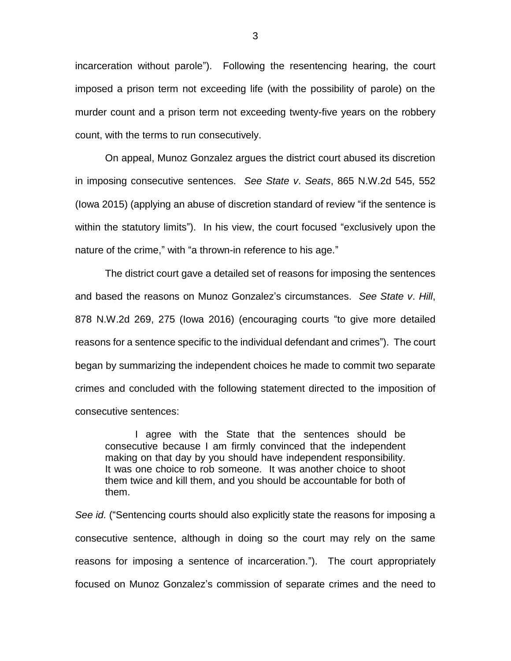incarceration without parole"). Following the resentencing hearing, the court imposed a prison term not exceeding life (with the possibility of parole) on the murder count and a prison term not exceeding twenty-five years on the robbery count, with the terms to run consecutively.

On appeal, Munoz Gonzalez argues the district court abused its discretion in imposing consecutive sentences. *See State v*. *Seats*, 865 N.W.2d 545, 552 (Iowa 2015) (applying an abuse of discretion standard of review "if the sentence is within the statutory limits"). In his view, the court focused "exclusively upon the nature of the crime," with "a thrown-in reference to his age."

The district court gave a detailed set of reasons for imposing the sentences and based the reasons on Munoz Gonzalez's circumstances. *See State v*. *Hill*, 878 N.W.2d 269, 275 (Iowa 2016) (encouraging courts "to give more detailed reasons for a sentence specific to the individual defendant and crimes"). The court began by summarizing the independent choices he made to commit two separate crimes and concluded with the following statement directed to the imposition of consecutive sentences:

I agree with the State that the sentences should be consecutive because I am firmly convinced that the independent making on that day by you should have independent responsibility. It was one choice to rob someone. It was another choice to shoot them twice and kill them, and you should be accountable for both of them.

*See id.* ("Sentencing courts should also explicitly state the reasons for imposing a consecutive sentence, although in doing so the court may rely on the same reasons for imposing a sentence of incarceration."). The court appropriately focused on Munoz Gonzalez's commission of separate crimes and the need to